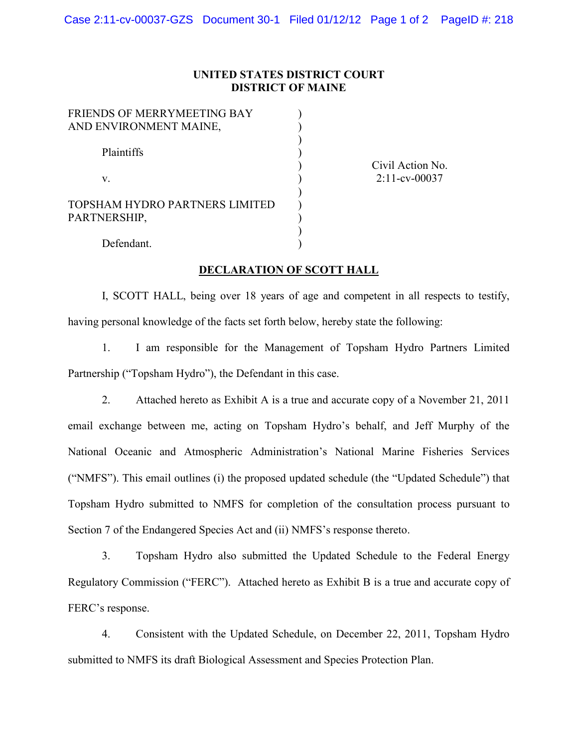## **UNITED STATES DISTRICT COURT DISTRICT OF MAINE**

) ) ) ) ) ) ) ) ) ) )

| FRIENDS OF MERRYMEETING BAY<br>AND ENVIRONMENT MAINE, |  |
|-------------------------------------------------------|--|
| Plaintiffs                                            |  |
| V.                                                    |  |
| TOPSHAM HYDRO PARTNERS LIMITED<br>PARTNERSHIP,        |  |
| Defendant.                                            |  |

Civil Action No. 2:11-cv-00037

## **DECLARATION OF SCOTT HALL**

I, SCOTT HALL, being over 18 years of age and competent in all respects to testify, having personal knowledge of the facts set forth below, hereby state the following:

1. I am responsible for the Management of Topsham Hydro Partners Limited Partnership ("Topsham Hydro"), the Defendant in this case.

2. Attached hereto as Exhibit A is a true and accurate copy of a November 21, 2011 email exchange between me, acting on Topsham Hydro's behalf, and Jeff Murphy of the National Oceanic and Atmospheric Administration's National Marine Fisheries Services ("NMFS"). This email outlines (i) the proposed updated schedule (the "Updated Schedule") that Topsham Hydro submitted to NMFS for completion of the consultation process pursuant to Section 7 of the Endangered Species Act and (ii) NMFS's response thereto.

3. Topsham Hydro also submitted the Updated Schedule to the Federal Energy Regulatory Commission ("FERC"). Attached hereto as Exhibit B is a true and accurate copy of FERC's response.

4. Consistent with the Updated Schedule, on December 22, 2011, Topsham Hydro submitted to NMFS its draft Biological Assessment and Species Protection Plan.